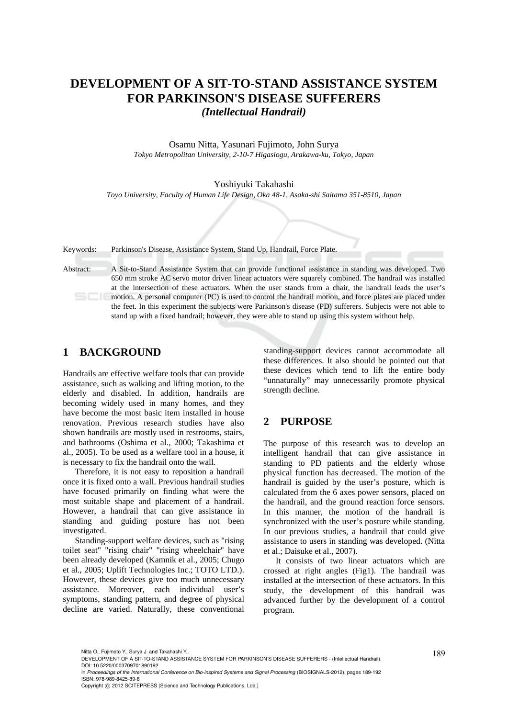# **DEVELOPMENT OF A SIT-TO-STAND ASSISTANCE SYSTEM FOR PARKINSON'S DISEASE SUFFERERS**  *(Intellectual Handrail)*

Osamu Nitta, Yasunari Fujimoto, John Surya *Tokyo Metropolitan University, 2-10-7 Higasiogu, Arakawa-ku, Tokyo, Japan* 

#### Yoshiyuki Takahashi

*Toyo University, Faculty of Human Life Design, Oka 48-1, Asaka-shi Saitama 351-8510, Japan* 

Keywords: Parkinson's Disease, Assistance System, Stand Up, Handrail, Force Plate.

Abstract: A Sit-to-Stand Assistance System that can provide functional assistance in standing was developed. Two 650 mm stroke AC servo motor driven linear actuators were squarely combined. The handrail was installed at the intersection of these actuators. When the user stands from a chair, the handrail leads the user's motion. A personal computer (PC) is used to control the handrail motion, and force plates are placed under the feet. In this experiment the subjects were Parkinson's disease (PD) sufferers. Subjects were not able to stand up with a fixed handrail; however, they were able to stand up using this system without help.

## **1 BACKGROUND**

Handrails are effective welfare tools that can provide assistance, such as walking and lifting motion, to the elderly and disabled. In addition, handrails are becoming widely used in many homes, and they have become the most basic item installed in house renovation. Previous research studies have also shown handrails are mostly used in restrooms, stairs, and bathrooms (Oshima et al., 2000; Takashima et al., 2005). To be used as a welfare tool in a house, it is necessary to fix the handrail onto the wall.

Therefore, it is not easy to reposition a handrail once it is fixed onto a wall. Previous handrail studies have focused primarily on finding what were the most suitable shape and placement of a handrail. However, a handrail that can give assistance in standing and guiding posture has not been investigated.

Standing-support welfare devices, such as "rising toilet seat" "rising chair" "rising wheelchair" have been already developed (Kamnik et al., 2005; Chugo et al., 2005; Uplift Technologies Inc.; TOTO LTD.). However, these devices give too much unnecessary assistance. Moreover, each individual user's symptoms, standing pattern, and degree of physical decline are varied. Naturally, these conventional

standing-support devices cannot accommodate all these differences. It also should be pointed out that these devices which tend to lift the entire body "unnaturally" may unnecessarily promote physical strength decline.

### **2 PURPOSE**

The purpose of this research was to develop an intelligent handrail that can give assistance in standing to PD patients and the elderly whose physical function has decreased. The motion of the handrail is guided by the user's posture, which is calculated from the 6 axes power sensors, placed on the handrail, and the ground reaction force sensors. In this manner, the motion of the handrail is synchronized with the user's posture while standing. In our previous studies, a handrail that could give assistance to users in standing was developed. (Nitta et al.; Daisuke et al., 2007).

It consists of two linear actuators which are crossed at right angles (Fig1). The handrail was installed at the intersection of these actuators. In this study, the development of this handrail was advanced further by the development of a control program.

Nitta O., Fujimoto Y., Surya J. and Takahashi Y..<br>DEVELOPMENT OF A SIT-TO-STAND ASSISTANCE SYSTEM FOR PARKINSON'S DISEASE SUFFERERS - (Intellectual Handrail). DOI: 10.5220/0003709701890192

In *Proceedings of the International Conference on Bio-inspired Systems and Signal Processing* (BIOSIGNALS-2012), pages 189-192 ISBN: 978-989-8425-89-8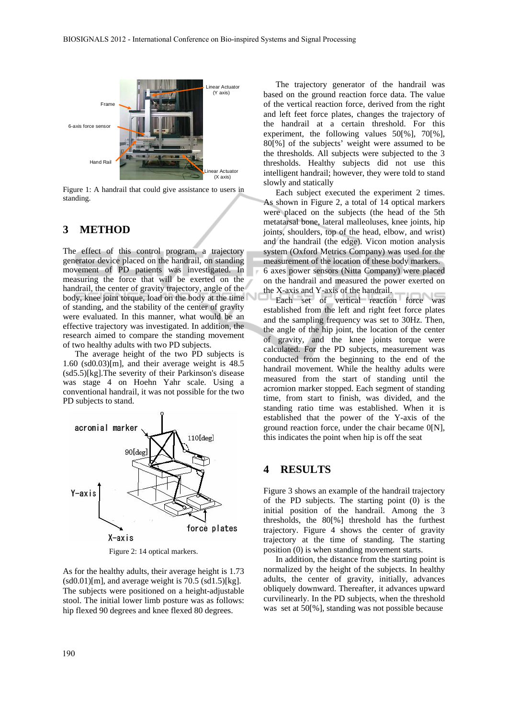

Figure 1: A handrail that could give assistance to users in standing.

## **3 METHOD**

The effect of this control program, a trajectory generator device placed on the handrail, on standing movement of PD patients was investigated. In measuring the force that will be exerted on the handrail, the center of gravity trajectory, angle of the body, knee joint torque, load on the body at the time of standing, and the stability of the center of gravity were evaluated. In this manner, what would be an effective trajectory was investigated. In addition, the research aimed to compare the standing movement of two healthy adults with two PD subjects.

The average height of the two PD subjects is 1.60 (sd0.03)[m], and their average weight is 48.5 (sd5.5)[kg].The severity of their Parkinson's disease was stage 4 on Hoehn Yahr scale. Using a conventional handrail, it was not possible for the two PD subjects to stand.



Figure 2: 14 optical markers.

As for the healthy adults, their average height is 1.73  $(sd0.01)[m]$ , and average weight is 70.5  $(sd1.5)[kg]$ . The subjects were positioned on a height-adjustable stool. The initial lower limb posture was as follows: hip flexed 90 degrees and knee flexed 80 degrees.

The trajectory generator of the handrail was based on the ground reaction force data. The value of the vertical reaction force, derived from the right and left feet force plates, changes the trajectory of the handrail at a certain threshold. For this experiment, the following values 50[%], 70[%], 80[%] of the subjects' weight were assumed to be the thresholds. All subjects were subjected to the 3 thresholds. Healthy subjects did not use this intelligent handrail; however, they were told to stand slowly and statically

Each subject executed the experiment 2 times. As shown in Figure 2, a total of 14 optical markers were placed on the subjects (the head of the 5th metatarsal bone, lateral malleoluses, knee joints, hip joints, shoulders, top of the head, elbow, and wrist) and the handrail (the edge). Vicon motion analysis system (Oxford Metrics Company) was used for the measurement of the location of these body markers. 6 axes power sensors (Nitta Company) were placed on the handrail and measured the power exerted on the X-axis and Y-axis of the handrail.

Each set of vertical reaction force was established from the left and right feet force plates and the sampling frequency was set to 30Hz. Then, the angle of the hip joint, the location of the center of gravity, and the knee joints torque were calculated. For the PD subjects, measurement was conducted from the beginning to the end of the handrail movement. While the healthy adults were measured from the start of standing until the acromion marker stopped. Each segment of standing time, from start to finish, was divided, and the standing ratio time was established. When it is established that the power of the Y-axis of the ground reaction force, under the chair became 0[N], this indicates the point when hip is off the seat

#### **4 RESULTS**

Figure 3 shows an example of the handrail trajectory of the PD subjects. The starting point (0) is the initial position of the handrail. Among the 3 thresholds, the 80[%] threshold has the furthest trajectory. Figure 4 shows the center of gravity trajectory at the time of standing. The starting position (0) is when standing movement starts.

In addition, the distance from the starting point is normalized by the height of the subjects. In healthy adults, the center of gravity, initially, advances obliquely downward. Thereafter, it advances upward curvilinearly. In the PD subjects, when the threshold was set at 50[%], standing was not possible because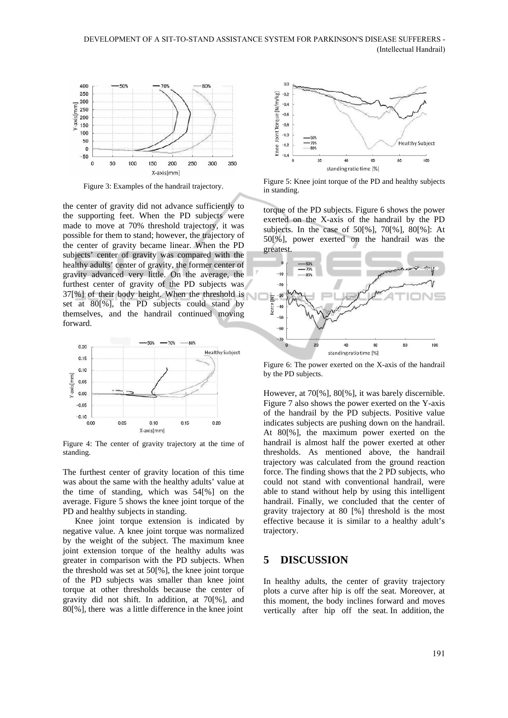

Figure 3: Examples of the handrail trajectory.

the center of gravity did not advance sufficiently to the supporting feet. When the PD subjects were made to move at 70% threshold trajectory, it was possible for them to stand; however, the trajectory of the center of gravity became linear. When the PD subjects' center of gravity was compared with the healthy adults' center of gravity, the former center of gravity advanced very little. On the average, the furthest center of gravity of the PD subjects was 37[%] of their body height. When the threshold is set at 80[%], the PD subjects could stand by themselves, and the handrail continued moving forward.



Figure 4: The center of gravity trajectory at the time of standing.

The furthest center of gravity location of this time was about the same with the healthy adults' value at the time of standing, which was 54[%] on the average. Figure 5 shows the knee joint torque of the PD and healthy subjects in standing.

Knee joint torque extension is indicated by negative value. A knee joint torque was normalized by the weight of the subject. The maximum knee joint extension torque of the healthy adults was greater in comparison with the PD subjects. When the threshold was set at 50[%], the knee joint torque of the PD subjects was smaller than knee joint torque at other thresholds because the center of gravity did not shift. In addition, at 70[%], and 80[%], there was a little difference in the knee joint



Figure 5: Knee joint torque of the PD and healthy subjects in standing.

torque of the PD subjects. Figure 6 shows the power exerted on the X-axis of the handrail by the PD subjects. In the case of 50[%], 70[%], 80[%]: At 50[%], power exerted on the handrail was the greatest.



Figure 6: The power exerted on the X-axis of the handrail by the PD subjects.

However, at 70[%], 80[%], it was barely discernible. Figure 7 also shows the power exerted on the Y-axis of the handrail by the PD subjects. Positive value indicates subjects are pushing down on the handrail. At 80[%], the maximum power exerted on the handrail is almost half the power exerted at other thresholds. As mentioned above, the handrail trajectory was calculated from the ground reaction force. The finding shows that the 2 PD subjects, who could not stand with conventional handrail, were able to stand without help by using this intelligent handrail. Finally, we concluded that the center of gravity trajectory at 80 [%] threshold is the most effective because it is similar to a healthy adult's trajectory.

#### **5 DISCUSSION**

In healthy adults, the center of gravity trajectory plots a curve after hip is off the seat. Moreover, at this moment, the body inclines forward and moves vertically after hip off the seat. In addition, the